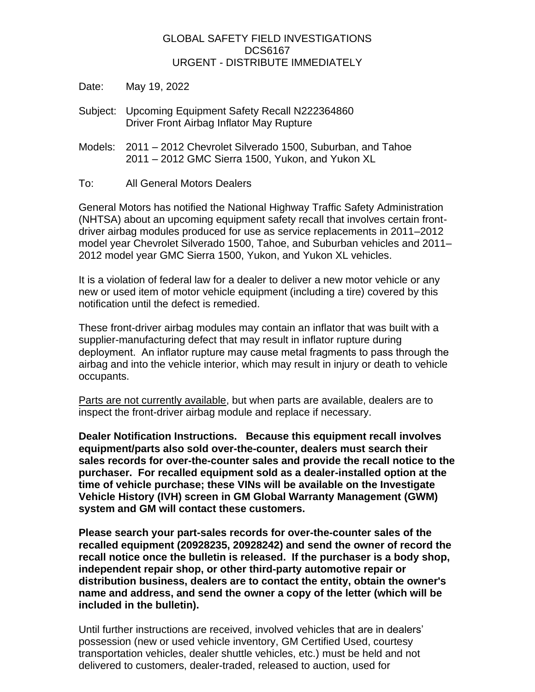## GLOBAL SAFETY FIELD INVESTIGATIONS DCS6167 URGENT - DISTRIBUTE IMMEDIATELY

- Date: May 19, 2022
- Subject: Upcoming Equipment Safety Recall N222364860 Driver Front Airbag Inflator May Rupture
- Models: 2011 2012 Chevrolet Silverado 1500, Suburban, and Tahoe 2011 – 2012 GMC Sierra 1500, Yukon, and Yukon XL
- To: All General Motors Dealers

General Motors has notified the National Highway Traffic Safety Administration (NHTSA) about an upcoming equipment safety recall that involves certain frontdriver airbag modules produced for use as service replacements in 2011–2012 model year Chevrolet Silverado 1500, Tahoe, and Suburban vehicles and 2011– 2012 model year GMC Sierra 1500, Yukon, and Yukon XL vehicles.

It is a violation of federal law for a dealer to deliver a new motor vehicle or any new or used item of motor vehicle equipment (including a tire) covered by this notification until the defect is remedied.

These front-driver airbag modules may contain an inflator that was built with a supplier-manufacturing defect that may result in inflator rupture during deployment. An inflator rupture may cause metal fragments to pass through the airbag and into the vehicle interior, which may result in injury or death to vehicle occupants.

Parts are not currently available, but when parts are available, dealers are to inspect the front-driver airbag module and replace if necessary.

**Dealer Notification Instructions. Because this equipment recall involves equipment/parts also sold over-the-counter, dealers must search their sales records for over-the-counter sales and provide the recall notice to the purchaser. For recalled equipment sold as a dealer-installed option at the time of vehicle purchase; these VINs will be available on the Investigate Vehicle History (IVH) screen in GM Global Warranty Management (GWM) system and GM will contact these customers.** 

**Please search your part-sales records for over-the-counter sales of the recalled equipment (20928235, 20928242) and send the owner of record the recall notice once the bulletin is released. If the purchaser is a body shop, independent repair shop, or other third-party automotive repair or distribution business, dealers are to contact the entity, obtain the owner's name and address, and send the owner a copy of the letter (which will be included in the bulletin).**

Until further instructions are received, involved vehicles that are in dealers' possession (new or used vehicle inventory, GM Certified Used, courtesy transportation vehicles, dealer shuttle vehicles, etc.) must be held and not delivered to customers, dealer-traded, released to auction, used for